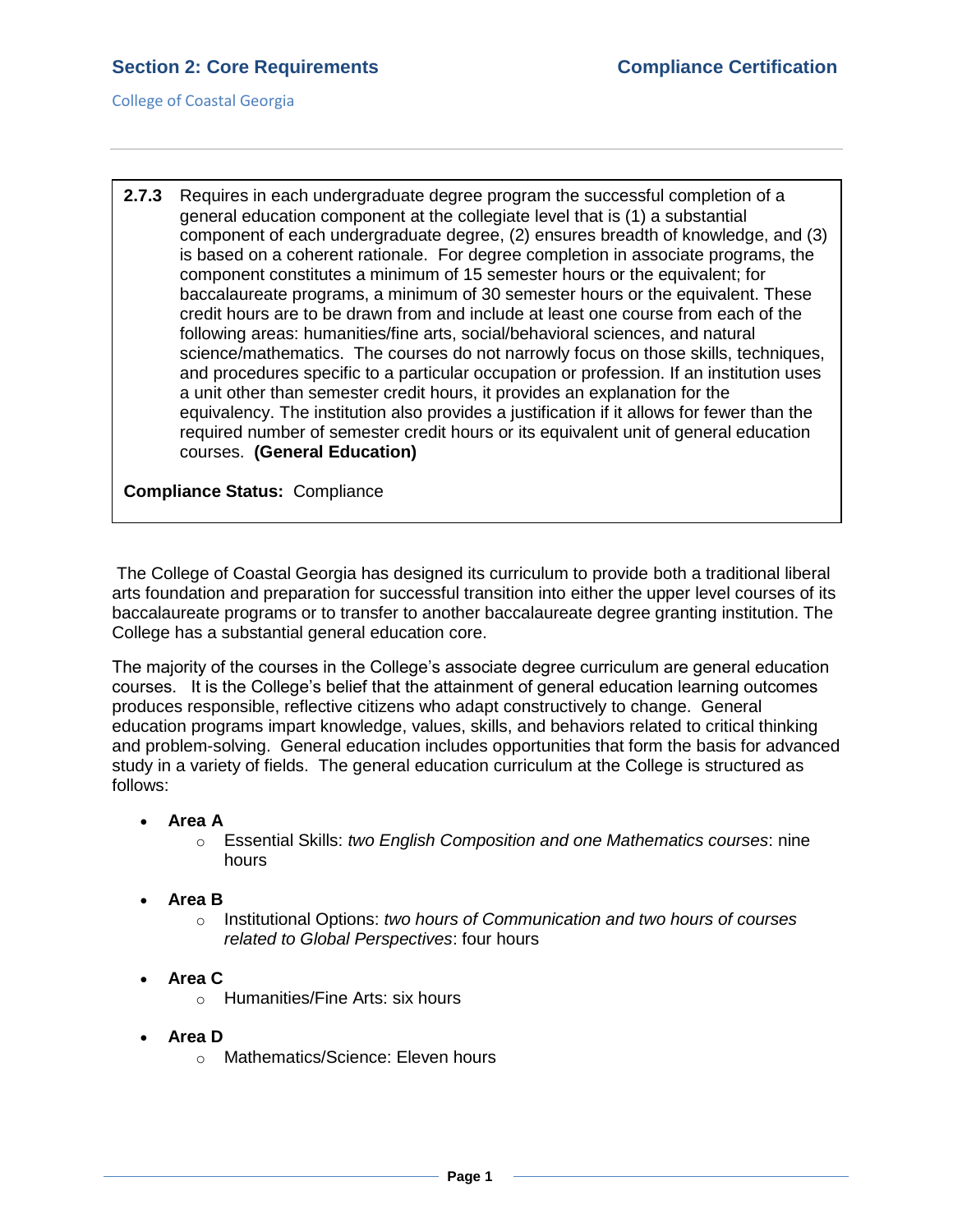College of Coastal Georgia

**2.7.3** Requires in each undergraduate degree program the successful completion of a general education component at the collegiate level that is (1) a substantial component of each undergraduate degree, (2) ensures breadth of knowledge, and (3) is based on a coherent rationale. For degree completion in associate programs, the component constitutes a minimum of 15 semester hours or the equivalent; for baccalaureate programs, a minimum of 30 semester hours or the equivalent. These credit hours are to be drawn from and include at least one course from each of the following areas: humanities/fine arts, social/behavioral sciences, and natural science/mathematics. The courses do not narrowly focus on those skills, techniques, and procedures specific to a particular occupation or profession. If an institution uses a unit other than semester credit hours, it provides an explanation for the equivalency. The institution also provides a justification if it allows for fewer than the required number of semester credit hours or its equivalent unit of general education courses. **(General Education)**

**Compliance Status:** Compliance

The College of Coastal Georgia has designed its curriculum to provide both a traditional liberal arts foundation and preparation for successful transition into either the upper level courses of its baccalaureate programs or to transfer to another baccalaureate degree granting institution. The College has a substantial general education core.

The majority of the courses in the College's associate degree curriculum are general education courses. It is the College's belief that the attainment of general education learning outcomes produces responsible, reflective citizens who adapt constructively to change. General education programs impart knowledge, values, skills, and behaviors related to critical thinking and problem-solving. General education includes opportunities that form the basis for advanced study in a variety of fields. The general education curriculum at the College is structured as follows:

- **Area A**
	- o Essential Skills: *two English Composition and one Mathematics courses*: nine hours
- **Area B**
	- o Institutional Options: *two hours of Communication and two hours of courses related to Global Perspectives*: four hours
- **Area C**
	- o Humanities/Fine Arts: six hours
- **Area D**
	- o Mathematics/Science: Eleven hours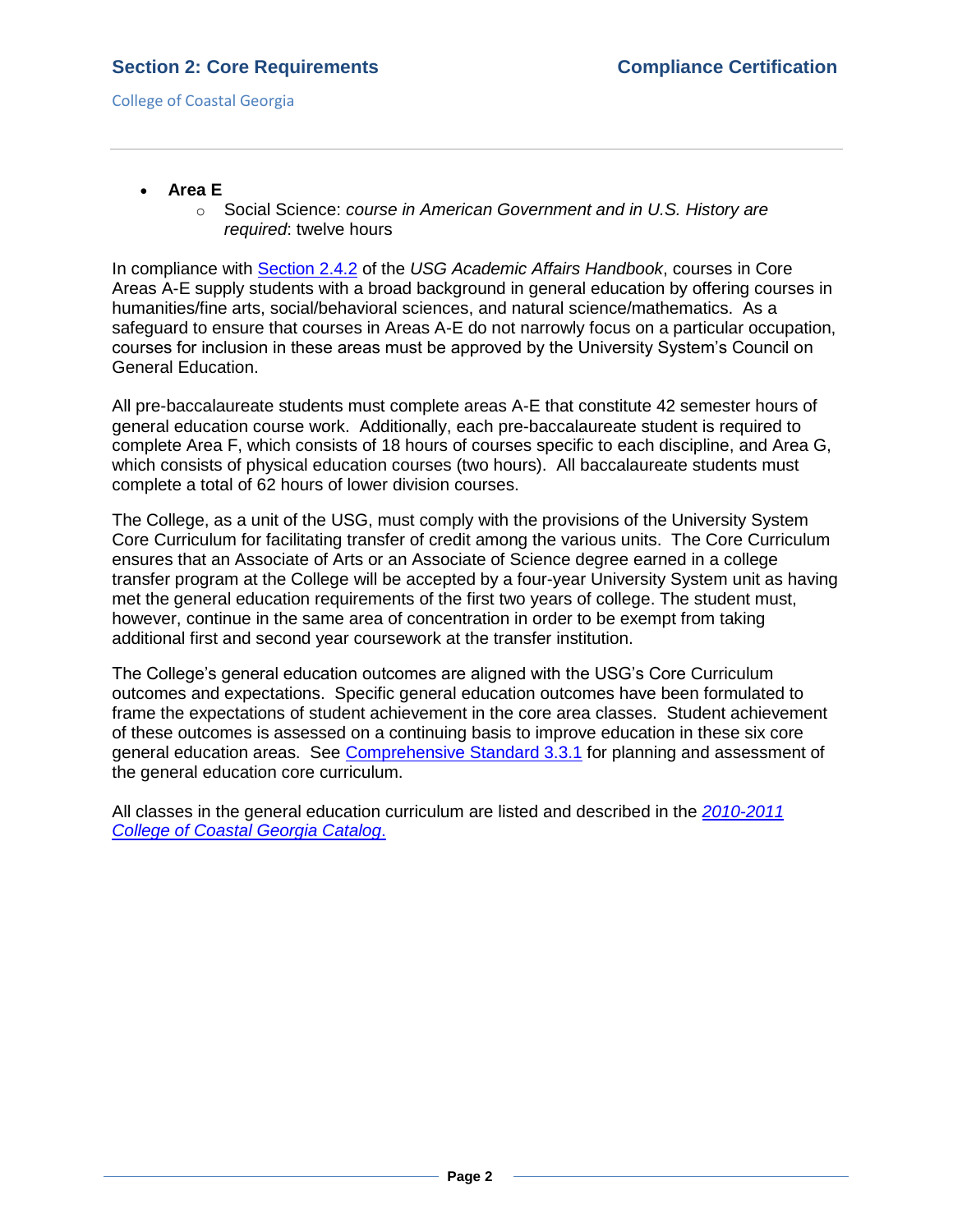College of Coastal Georgia

- **Area E**
	- o Social Science: *course in American Government and in U.S. History are required*: twelve hours

In compliance with [Section 2.4.2](2.7.3.aUSGAAhandbook2.4.2.pdf#page=2) of the *USG Academic Affairs Handbook*, courses in Core Areas A-E supply students with a broad background in general education by offering courses in humanities/fine arts, social/behavioral sciences, and natural science/mathematics. As a safeguard to ensure that courses in Areas A-E do not narrowly focus on a particular occupation, courses for inclusion in these areas must be approved by the University System's Council on General Education.

All pre-baccalaureate students must complete areas A-E that constitute 42 semester hours of general education course work. Additionally, each pre-baccalaureate student is required to complete Area F, which consists of 18 hours of courses specific to each discipline, and Area G, which consists of physical education courses (two hours). All baccalaureate students must complete a total of 62 hours of lower division courses.

The College, as a unit of the USG, must comply with the provisions of the University System Core Curriculum for facilitating transfer of credit among the various units. The Core Curriculum ensures that an Associate of Arts or an Associate of Science degree earned in a college transfer program at the College will be accepted by a four-year University System unit as having met the general education requirements of the first two years of college. The student must, however, continue in the same area of concentration in order to be exempt from taking additional first and second year coursework at the transfer institution.

The College's general education outcomes are aligned with the USG's Core Curriculum outcomes and expectations. Specific general education outcomes have been formulated to frame the expectations of student achievement in the core area classes. Student achievement of these outcomes is assessed on a continuing basis to improve education in these six core general education areas. See [Comprehensive Standard 3.3.1](3.3.1.pdf#page=1) for planning and assessment of the general education core curriculum.

All classes in the general education curriculum are listed and described in the *[2010-2011](CCGAcatalog.pdf#page=54) [College of Coastal Georgia Catalog](CCGAcatalog.pdf#page=54)*.